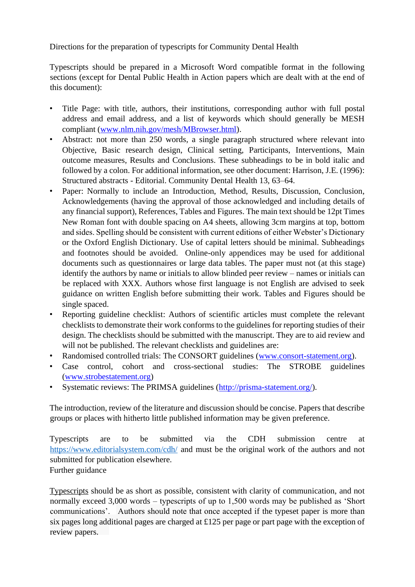Directions for the preparation of typescripts for Community Dental Health

Typescripts should be prepared in a Microsoft Word compatible format in the following sections (except for Dental Public Health in Action papers which are dealt with at the end of this document):

- Title Page: with title, authors, their institutions, corresponding author with full postal address and email address, and a list of keywords which should generally be MESH compliant (www.nlm.nih.gov/mesh/MBrowser.html).
- Abstract: not more than 250 words, a single paragraph structured where relevant into Objective, Basic research design, Clinical setting, Participants, Interventions, Main outcome measures, Results and Conclusions. These subheadings to be in bold italic and followed by a colon. For additional information, see other document: Harrison, J.E. (1996): Structured abstracts - Editorial. Community Dental Health 13, 63–64.
- Paper: Normally to include an Introduction, Method, Results, Discussion, Conclusion, Acknowledgements (having the approval of those acknowledged and including details of any financial support), References, Tables and Figures. The main text should be 12pt Times New Roman font with double spacing on A4 sheets, allowing 3cm margins at top, bottom and sides. Spelling should be consistent with current editions of either Webster's Dictionary or the Oxford English Dictionary. Use of capital letters should be minimal. Subheadings and footnotes should be avoided. Online-only appendices may be used for additional documents such as questionnaires or large data tables. The paper must not (at this stage) identify the authors by name or initials to allow blinded peer review – names or initials can be replaced with XXX. Authors whose first language is not English are advised to seek guidance on written English before submitting their work. Tables and Figures should be single spaced.
- Reporting guideline checklist: Authors of scientific articles must complete the relevant checklists to demonstrate their work conforms to the guidelines for reporting studies of their design. The checklists should be submitted with the manuscript. They are to aid review and will not be published. The relevant checklists and guidelines are:
- Randomised controlled trials: The CONSORT guidelines (www.consort-statement.org).
- Case control, cohort and cross-sectional studies: The STROBE guidelines (www.strobestatement.org)
- Systematic reviews: The PRIMSA guidelines (http://prisma-statement.org/).

The introduction, review of the literature and discussion should be concise. Papers that describe groups or places with hitherto little published information may be given preference.

Typescripts are to be submitted via the CDH submission centre at https://www.editorialsystem.com/cdh/ and must be the original work of the authors and not submitted for publication elsewhere. Further guidance

Typescripts should be as short as possible, consistent with clarity of communication, and not normally exceed 3,000 words – typescripts of up to 1,500 words may be published as 'Short communications'. Authors should note that once accepted if the typeset paper is more than six pages long additional pages are charged at £125 per page or part page with the exception of review papers.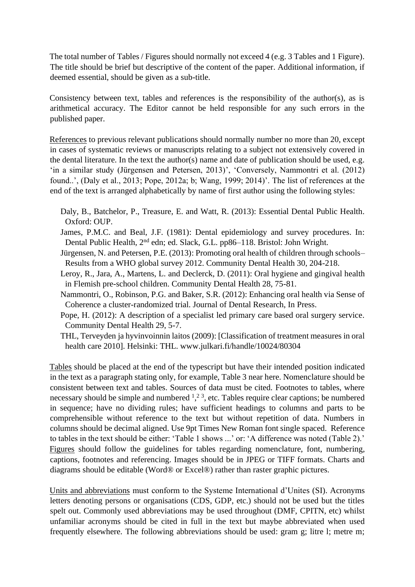The total number of Tables / Figures should normally not exceed 4 (e.g. 3 Tables and 1 Figure). The title should be brief but descriptive of the content of the paper. Additional information, if deemed essential, should be given as a sub-title.

Consistency between text, tables and references is the responsibility of the author(s), as is arithmetical accuracy. The Editor cannot be held responsible for any such errors in the published paper.

References to previous relevant publications should normally number no more than 20, except in cases of systematic reviews or manuscripts relating to a subject not extensively covered in the dental literature. In the text the author(s) name and date of publication should be used, e.g. 'in a similar study (Jürgensen and Petersen, 2013)', 'Conversely, Nammontri et al. (2012) found..', (Daly et al., 2013; Pope, 2012a; b; Wang, 1999; 2014)'. The list of references at the end of the text is arranged alphabetically by name of first author using the following styles:

- Daly, B., Batchelor, P., Treasure, E. and Watt, R. (2013): Essential Dental Public Health. Oxford: OUP.
- James, P.M.C. and Beal, J.F. (1981): Dental epidemiology and survey procedures. In: Dental Public Health, 2nd edn; ed. Slack, G.L. pp86–118. Bristol: John Wright.
- Jürgensen, N. and Petersen, P.E. (2013): Promoting oral health of children through schools– Results from a WHO global survey 2012. Community Dental Health 30, 204-218.
- Leroy, R., Jara, A., Martens, L. and Declerck, D. (2011): Oral hygiene and gingival health in Flemish pre-school children. Community Dental Health 28, 75-81.
- Nammontri, O., Robinson, P.G. and Baker, S.R. (2012): Enhancing oral health via Sense of Coherence a cluster-randomized trial. Journal of Dental Research, In Press.
- Pope, H. (2012): A description of a specialist led primary care based oral surgery service. Community Dental Health 29, 5-7.
- THL, Terveyden ja hyvinvoinnin laitos (2009): [Classification of treatment measures in oral health care 2010]. Helsinki: THL. www.julkari.fi/handle/10024/80304

Tables should be placed at the end of the typescript but have their intended position indicated in the text as a paragraph stating only, for example, Table 3 near here. Nomenclature should be consistent between text and tables. Sources of data must be cited. Footnotes to tables, where necessary should be simple and numbered  $1, 2, 3$ , etc. Tables require clear captions; be numbered in sequence; have no dividing rules; have sufficient headings to columns and parts to be comprehensible without reference to the text but without repetition of data. Numbers in columns should be decimal aligned. Use 9pt Times New Roman font single spaced. Reference to tables in the text should be either: 'Table 1 shows ...' or: 'A difference was noted (Table 2).' Figures should follow the guidelines for tables regarding nomenclature, font, numbering, captions, footnotes and referencing. Images should be in JPEG or TIFF formats. Charts and diagrams should be editable (Word® or Excel®) rather than raster graphic pictures.

Units and abbreviations must conform to the Systeme International d'Unites (SI). Acronyms letters denoting persons or organisations (CDS, GDP, etc.) should not be used but the titles spelt out. Commonly used abbreviations may be used throughout (DMF, CPITN, etc) whilst unfamiliar acronyms should be cited in full in the text but maybe abbreviated when used frequently elsewhere. The following abbreviations should be used: gram g; litre l; metre m;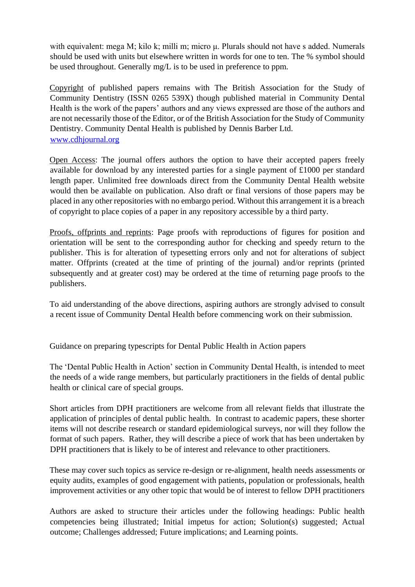with equivalent: mega M; kilo k; milli m; micro μ. Plurals should not have s added. Numerals should be used with units but elsewhere written in words for one to ten. The % symbol should be used throughout. Generally mg/L is to be used in preference to ppm.

Copyright of published papers remains with The British Association for the Study of Community Dentistry (ISSN 0265 539X) though published material in Community Dental Health is the work of the papers' authors and any views expressed are those of the authors and are not necessarily those of the Editor, or of the British Association for the Study of Community Dentistry. Community Dental Health is published by Dennis Barber Ltd. www.cdhjournal.org

Open Access: The journal offers authors the option to have their accepted papers freely available for download by any interested parties for a single payment of £1000 per standard length paper. Unlimited free downloads direct from the Community Dental Health website would then be available on publication. Also draft or final versions of those papers may be placed in any other repositories with no embargo period. Without this arrangement it is a breach of copyright to place copies of a paper in any repository accessible by a third party.

Proofs, offprints and reprints: Page proofs with reproductions of figures for position and orientation will be sent to the corresponding author for checking and speedy return to the publisher. This is for alteration of typesetting errors only and not for alterations of subject matter. Offprints (created at the time of printing of the journal) and/or reprints (printed subsequently and at greater cost) may be ordered at the time of returning page proofs to the publishers.

To aid understanding of the above directions, aspiring authors are strongly advised to consult a recent issue of Community Dental Health before commencing work on their submission.

Guidance on preparing typescripts for Dental Public Health in Action papers

The 'Dental Public Health in Action' section in Community Dental Health, is intended to meet the needs of a wide range members, but particularly practitioners in the fields of dental public health or clinical care of special groups.

Short articles from DPH practitioners are welcome from all relevant fields that illustrate the application of principles of dental public health. In contrast to academic papers, these shorter items will not describe research or standard epidemiological surveys, nor will they follow the format of such papers. Rather, they will describe a piece of work that has been undertaken by DPH practitioners that is likely to be of interest and relevance to other practitioners.

These may cover such topics as service re-design or re-alignment, health needs assessments or equity audits, examples of good engagement with patients, population or professionals, health improvement activities or any other topic that would be of interest to fellow DPH practitioners

Authors are asked to structure their articles under the following headings: Public health competencies being illustrated; Initial impetus for action; Solution(s) suggested; Actual outcome; Challenges addressed; Future implications; and Learning points.